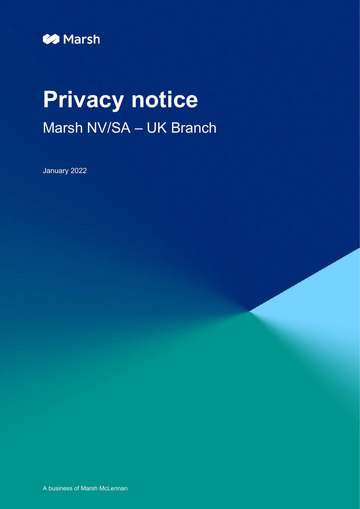

# **Privacy notice** Marsh NV/SA – UK Branch

January 2022

A business of Marsh McLennan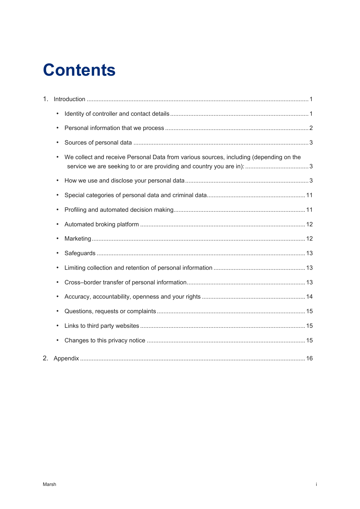## **Contents**

| $1_{-}$ |                                                                                                     |  |
|---------|-----------------------------------------------------------------------------------------------------|--|
|         | $\bullet$                                                                                           |  |
|         | $\bullet$                                                                                           |  |
|         | $\bullet$                                                                                           |  |
|         | We collect and receive Personal Data from various sources, including (depending on the<br>$\bullet$ |  |
|         | $\bullet$                                                                                           |  |
|         | $\bullet$                                                                                           |  |
|         | $\bullet$                                                                                           |  |
|         | $\bullet$                                                                                           |  |
|         | $\bullet$                                                                                           |  |
|         | $\bullet$                                                                                           |  |
|         | $\bullet$                                                                                           |  |
|         | $\bullet$                                                                                           |  |
|         | $\bullet$                                                                                           |  |
|         | $\bullet$                                                                                           |  |
|         | $\bullet$                                                                                           |  |
|         | $\bullet$                                                                                           |  |
| 2.      |                                                                                                     |  |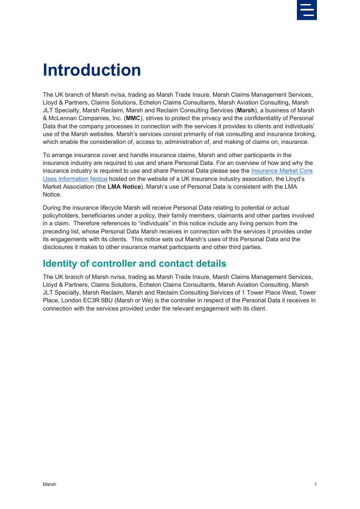

## <span id="page-2-0"></span>**Introduction**

The UK branch of Marsh nv/sa, trading as Marsh Trade Insure, Marsh Claims Management Services, Lloyd & Partners, Claims Solutions, Echelon Claims Consultants, Marsh Aviation Consulting, Marsh JLT Specialty, Marsh Reclaim, Marsh and Reclaim Consulting Services (**Marsh**), a business of Marsh & McLennan Companies, Inc. (**MMC**), strives to protect the privacy and the confidentiality of Personal Data that the company processes in connection with the services it provides to clients and individuals' use of the Marsh websites. Marsh's services consist primarily of risk consulting and insurance broking, which enable the consideration of, access to, administration of, and making of claims on, insurance.

To arrange insurance cover and handle insurance claims, Marsh and other participants in the insurance industry are required to use and share Personal Data. For an overview of how and why the insurance industry is required to use and share Personal Data please see the [Insurance Market Core](https://lmg.london/document/data-protection-insurance-market-core-uses-information-notice/)  [Uses Information Notice](https://lmg.london/document/data-protection-insurance-market-core-uses-information-notice/) hosted on the website of a UK insurance industry association, the Lloyd's Market Association (the **LMA Notice**). Marsh's use of Personal Data is consistent with the LMA Notice.

During the insurance lifecycle Marsh will receive Personal Data relating to potential or actual policyholders, beneficiaries under a policy, their family members, claimants and other parties involved in a claim. Therefore references to "individuals" in this notice include any living person from the preceding list, whose Personal Data Marsh receives in connection with the services it provides under its engagements with its clients. This notice sets out Marsh's uses of this Personal Data and the disclosures it makes to other insurance market participants and other third parties.

#### <span id="page-2-1"></span>**Identity of controller and contact details**

The UK branch of Marsh nv/sa, trading as Marsh Trade Insure, Marsh Claims Management Services, Lloyd & Partners, Claims Solutions, Echelon Claims Consultants, Marsh Aviation Consulting, Marsh JLT Specialty, Marsh Reclaim, Marsh and Reclaim Consulting Services of 1 Tower Place West, Tower Place, London EC3R 5BU (Marsh or We) is the controller in respect of the Personal Data it receives in connection with the services provided under the relevant engagement with its client.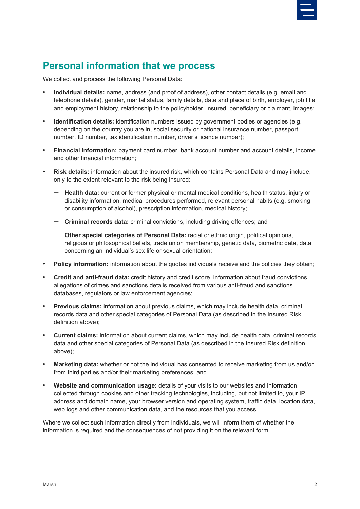

#### <span id="page-3-0"></span>**Personal information that we process**

We collect and process the following Personal Data:

- **Individual details:** name, address (and proof of address), other contact details (e.g. email and telephone details), gender, marital status, family details, date and place of birth, employer, job title and employment history, relationship to the policyholder, insured, beneficiary or claimant, images;
- **Identification details:** identification numbers issued by government bodies or agencies (e.g. depending on the country you are in, social security or national insurance number, passport number, ID number, tax identification number, driver's licence number);
- **Financial information:** payment card number, bank account number and account details, income and other financial information;
- **Risk details:** information about the insured risk, which contains Personal Data and may include, only to the extent relevant to the risk being insured:
	- ─ **Health data:** current or former physical or mental medical conditions, health status, injury or disability information, medical procedures performed, relevant personal habits (e.g. smoking or consumption of alcohol), prescription information, medical history;
	- ─ **Criminal records data:** criminal convictions, including driving offences; and
	- ─ **Other special categories of Personal Data:** racial or ethnic origin, political opinions, religious or philosophical beliefs, trade union membership, genetic data, biometric data, data concerning an individual's sex life or sexual orientation;
- **Policy information:** information about the quotes individuals receive and the policies they obtain;
- **Credit and anti-fraud data:** credit history and credit score, information about fraud convictions, allegations of crimes and sanctions details received from various anti-fraud and sanctions databases, regulators or law enforcement agencies;
- **Previous claims:** information about previous claims, which may include health data, criminal records data and other special categories of Personal Data (as described in the Insured Risk definition above);
- **Current claims:** information about current claims, which may include health data, criminal records data and other special categories of Personal Data (as described in the Insured Risk definition above);
- **Marketing data:** whether or not the individual has consented to receive marketing from us and/or from third parties and/or their marketing preferences; and
- **Website and communication usage:** details of your visits to our websites and information collected through cookies and other tracking technologies, including, but not limited to, your IP address and domain name, your browser version and operating system, traffic data, location data, web logs and other communication data, and the resources that you access.

Where we collect such information directly from individuals, we will inform them of whether the information is required and the consequences of not providing it on the relevant form.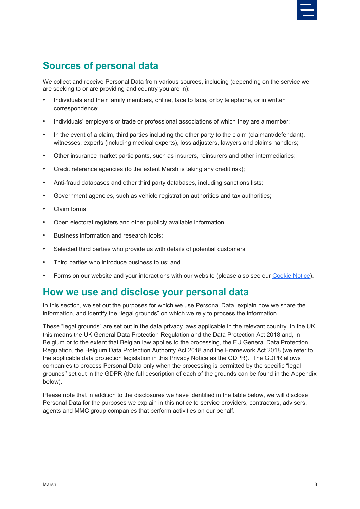

### <span id="page-4-0"></span>**Sources of personal data**

<span id="page-4-1"></span>We collect and receive Personal Data from various sources, including (depending on the service we are seeking to or are providing and country you are in):

- Individuals and their family members, online, face to face, or by telephone, or in written correspondence;
- Individuals' employers or trade or professional associations of which they are a member;
- In the event of a claim, third parties including the other party to the claim (claimant/defendant), witnesses, experts (including medical experts), loss adjusters, lawyers and claims handlers;
- Other insurance market participants, such as insurers, reinsurers and other intermediaries;
- Credit reference agencies (to the extent Marsh is taking any credit risk);
- Anti-fraud databases and other third party databases, including sanctions lists;
- Government agencies, such as vehicle registration authorities and tax authorities;
- Claim forms:
- Open electoral registers and other publicly available information:
- Business information and research tools;
- Selected third parties who provide us with details of potential customers
- Third parties who introduce business to us; and
- Forms on our website and your interactions with our website (please also see ou[r Cookie Notice\)](https://www.marsh.com/be/en/cookie-notice.html).

#### <span id="page-4-2"></span>**How we use and disclose your personal data**

In this section, we set out the purposes for which we use Personal Data, explain how we share the information, and identify the "legal grounds" on which we rely to process the information.

These "legal grounds" are set out in the data privacy laws applicable in the relevant country. In the UK, this means the UK General Data Protection Regulation and the Data Protection Act 2018 and, in Belgium or to the extent that Belgian law applies to the processing, the EU General Data Protection Regulation, the Belgium Data Protection Authority Act 2018 and the Framework Act 2018 (we refer to the applicable data protection legislation in this Privacy Notice as the GDPR). The GDPR allows companies to process Personal Data only when the processing is permitted by the specific "legal grounds" set out in the GDPR (the full description of each of the grounds can be found in the Appendix below).

Please note that in addition to the disclosures we have identified in the table below, we will disclose Personal Data for the purposes we explain in this notice to service providers, contractors, advisers, agents and MMC group companies that perform activities on our behalf.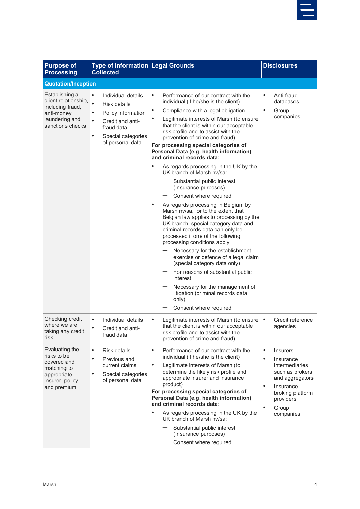

| <b>Purpose of</b><br><b>Processing</b>                                                                         | <b>Type of Information Legal Grounds</b><br><b>Collected</b>                                                                                                                     |                                                                                                                                                                                                                                                                                                                                                                                                                                                                                                                                                                                                                                                                                                                                                                                                                                                                                                                                                                                                                                                                                                                 | <b>Disclosures</b>                                                                                                                                                                      |
|----------------------------------------------------------------------------------------------------------------|----------------------------------------------------------------------------------------------------------------------------------------------------------------------------------|-----------------------------------------------------------------------------------------------------------------------------------------------------------------------------------------------------------------------------------------------------------------------------------------------------------------------------------------------------------------------------------------------------------------------------------------------------------------------------------------------------------------------------------------------------------------------------------------------------------------------------------------------------------------------------------------------------------------------------------------------------------------------------------------------------------------------------------------------------------------------------------------------------------------------------------------------------------------------------------------------------------------------------------------------------------------------------------------------------------------|-----------------------------------------------------------------------------------------------------------------------------------------------------------------------------------------|
| <b>Quotation/Inception</b>                                                                                     |                                                                                                                                                                                  |                                                                                                                                                                                                                                                                                                                                                                                                                                                                                                                                                                                                                                                                                                                                                                                                                                                                                                                                                                                                                                                                                                                 |                                                                                                                                                                                         |
| Establishing a<br>client relationship,<br>including fraud,<br>anti-money<br>laundering and<br>sanctions checks | Individual details<br>$\bullet$<br>$\bullet$<br>Risk details<br>Policy information<br>٠<br>Credit and anti-<br>fraud data<br>Special categories<br>$\bullet$<br>of personal data | Performance of our contract with the<br>individual (if he/she is the client)<br>Compliance with a legal obligation<br>Legitimate interests of Marsh (to ensure<br>that the client is within our acceptable<br>risk profile and to assist with the<br>prevention of crime and fraud)<br>For processing special categories of<br>Personal Data (e.g. health information)<br>and criminal records data:<br>As regards processing in the UK by the<br>UK branch of Marsh ny/sa:<br>Substantial public interest<br>(Insurance purposes)<br>Consent where required<br>As regards processing in Belgium by<br>Marsh ny/sa, or to the extent that<br>Belgian law applies to processing by the<br>UK branch, special category data and<br>criminal records data can only be<br>processed if one of the following<br>processing conditions apply:<br>Necessary for the establishment,<br>exercise or defence of a legal claim<br>(special category data only)<br>For reasons of substantial public<br>interest<br>Necessary for the management of<br>litigation (criminal records data<br>only)<br>Consent where required | Anti-fraud<br>databases<br>Group<br>companies                                                                                                                                           |
| Checking credit<br>where we are<br>taking any credit<br>risk                                                   | Individual details<br>$\bullet$<br>$\bullet$<br>Credit and anti-<br>fraud data                                                                                                   | Legitimate interests of Marsh (to ensure •<br>that the client is within our acceptable<br>risk profile and to assist with the<br>prevention of crime and fraud)                                                                                                                                                                                                                                                                                                                                                                                                                                                                                                                                                                                                                                                                                                                                                                                                                                                                                                                                                 | Credit reference<br>agencies                                                                                                                                                            |
| Evaluating the<br>risks to be<br>covered and<br>matching to<br>appropriate<br>insurer, policy<br>and premium   | <b>Risk details</b><br>$\bullet$<br>Previous and<br>current claims<br>Special categories<br>of personal data                                                                     | Performance of our contract with the<br>$\bullet$<br>individual (if he/she is the client)<br>$\bullet$<br>Legitimate interests of Marsh (to<br>determine the likely risk profile and<br>appropriate insurer and insurance<br>product)<br>For processing special categories of<br>Personal Data (e.g. health information)<br>and criminal records data:<br>As regards processing in the UK by the<br>UK branch of Marsh ny/sa:<br>Substantial public interest<br>(Insurance purposes)<br>Consent where required                                                                                                                                                                                                                                                                                                                                                                                                                                                                                                                                                                                                  | ٠<br><b>Insurers</b><br>$\bullet$<br>Insurance<br>intermediaries<br>such as brokers<br>and aggregators<br>$\bullet$<br>Insurance<br>broking platform<br>providers<br>Group<br>companies |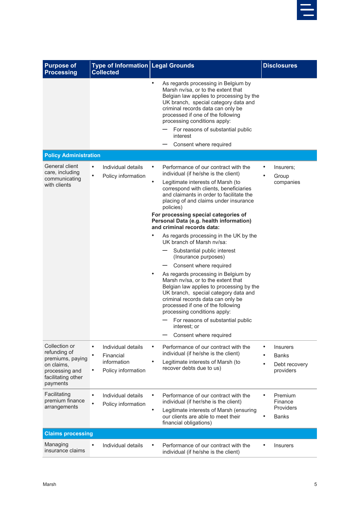

| <b>Purpose of</b><br><b>Processing</b>                                                                              | Type of Information Legal Grounds<br><b>Collected</b>                             |                                                                                                                                                                                                                                                                                                                                                                                                                                                                                                                                                                                                                                                                                                                                                                                                                                                                                                                    | <b>Disclosures</b>                                                                      |
|---------------------------------------------------------------------------------------------------------------------|-----------------------------------------------------------------------------------|--------------------------------------------------------------------------------------------------------------------------------------------------------------------------------------------------------------------------------------------------------------------------------------------------------------------------------------------------------------------------------------------------------------------------------------------------------------------------------------------------------------------------------------------------------------------------------------------------------------------------------------------------------------------------------------------------------------------------------------------------------------------------------------------------------------------------------------------------------------------------------------------------------------------|-----------------------------------------------------------------------------------------|
|                                                                                                                     |                                                                                   | $\bullet$<br>As regards processing in Belgium by<br>Marsh nv/sa, or to the extent that<br>Belgian law applies to processing by the<br>UK branch, special category data and<br>criminal records data can only be<br>processed if one of the following<br>processing conditions apply:<br>For reasons of substantial public<br>interest<br>Consent where required                                                                                                                                                                                                                                                                                                                                                                                                                                                                                                                                                    |                                                                                         |
| <b>Policy Administration</b>                                                                                        |                                                                                   |                                                                                                                                                                                                                                                                                                                                                                                                                                                                                                                                                                                                                                                                                                                                                                                                                                                                                                                    |                                                                                         |
| General client<br>care, including<br>communicating<br>with clients                                                  | Individual details<br>$\bullet$<br>$\bullet$<br>Policy information                | Performance of our contract with the<br>individual (if he/she is the client)<br>$\bullet$<br>Legitimate interests of Marsh (to<br>correspond with clients, beneficiaries<br>and claimants in order to facilitate the<br>placing of and claims under insurance<br>policies)<br>For processing special categories of<br>Personal Data (e.g. health information)<br>and criminal records data:<br>As regards processing in the UK by the<br>UK branch of Marsh ny/sa:<br>Substantial public interest<br>(Insurance purposes)<br>Consent where required<br>As regards processing in Belgium by<br>٠<br>Marsh nv/sa, or to the extent that<br>Belgian law applies to processing by the<br>UK branch, special category data and<br>criminal records data can only be<br>processed if one of the following<br>processing conditions apply:<br>For reasons of substantial public<br>interest; or<br>Consent where required | Insurers;<br>$\bullet$<br>Group<br>companies                                            |
| Collection or<br>refunding of<br>premiums, paying<br>on claims,<br>processing and<br>facilitating other<br>payments | $\bullet$<br>Individual details<br>Financial<br>information<br>Policy information | Performance of our contract with the<br>$\bullet$<br>individual (if he/she is the client)<br>Legitimate interests of Marsh (to<br>recover debts due to us)                                                                                                                                                                                                                                                                                                                                                                                                                                                                                                                                                                                                                                                                                                                                                         | $\bullet$<br><b>Insurers</b><br><b>Banks</b><br>$\bullet$<br>Debt recovery<br>providers |
| Facilitating<br>premium finance<br>arrangements                                                                     | Individual details<br>$\bullet$<br>$\bullet$<br>Policy information                | Performance of our contract with the<br>individual (if her/she is the client)<br>$\bullet$<br>Legitimate interests of Marsh (ensuring<br>our clients are able to meet their<br>financial obligations)                                                                                                                                                                                                                                                                                                                                                                                                                                                                                                                                                                                                                                                                                                              | Premium<br>Finance<br>Providers<br><b>Banks</b>                                         |
| <b>Claims processing</b>                                                                                            |                                                                                   |                                                                                                                                                                                                                                                                                                                                                                                                                                                                                                                                                                                                                                                                                                                                                                                                                                                                                                                    |                                                                                         |
| Managing<br>insurance claims                                                                                        | Individual details                                                                | Performance of our contract with the<br>individual (if he/she is the client)                                                                                                                                                                                                                                                                                                                                                                                                                                                                                                                                                                                                                                                                                                                                                                                                                                       | <b>Insurers</b>                                                                         |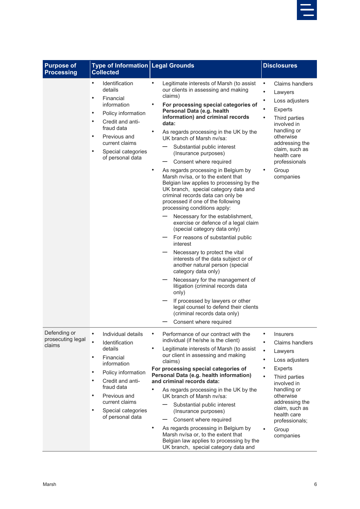

| <b>Purpose of</b><br><b>Processing</b>      | <b>Type of Information Legal Grounds</b><br><b>Collected</b>                                                                                                                                                                                                                     |                                                                                                                                                                                                                                                                                                                                                                                                                                                                                                                                                                                                                                                                                                                                                                                                                                                                                                                                                                                                                                                                                                                                                                                                     | <b>Disclosures</b>                                                                                                                                                                                                                                                                           |
|---------------------------------------------|----------------------------------------------------------------------------------------------------------------------------------------------------------------------------------------------------------------------------------------------------------------------------------|-----------------------------------------------------------------------------------------------------------------------------------------------------------------------------------------------------------------------------------------------------------------------------------------------------------------------------------------------------------------------------------------------------------------------------------------------------------------------------------------------------------------------------------------------------------------------------------------------------------------------------------------------------------------------------------------------------------------------------------------------------------------------------------------------------------------------------------------------------------------------------------------------------------------------------------------------------------------------------------------------------------------------------------------------------------------------------------------------------------------------------------------------------------------------------------------------------|----------------------------------------------------------------------------------------------------------------------------------------------------------------------------------------------------------------------------------------------------------------------------------------------|
|                                             | Identification<br>$\bullet$<br>details<br>Financial<br>$\bullet$<br>information<br>Policy information<br>$\bullet$<br>Credit and anti-<br>$\bullet$<br>fraud data<br>Previous and<br>$\bullet$<br>current claims<br>$\bullet$<br>Special categories<br>of personal data          | Legitimate interests of Marsh (to assist<br>$\bullet$<br>our clients in assessing and making<br>claims)<br>For processing special categories of<br>Personal Data (e.g. health<br>information) and criminal records<br>data:<br>As regards processing in the UK by the<br>UK branch of Marsh ny/sa:<br>Substantial public interest<br>(Insurance purposes)<br>Consent where required<br>As regards processing in Belgium by<br>$\bullet$<br>Marsh nv/sa, or to the extent that<br>Belgian law applies to processing by the<br>UK branch, special category data and<br>criminal records data can only be<br>processed if one of the following<br>processing conditions apply:<br>Necessary for the establishment,<br>exercise or defence of a legal claim<br>(special category data only)<br>For reasons of substantial public<br>interest<br>Necessary to protect the vital<br>interests of the data subject or of<br>another natural person (special<br>category data only)<br>Necessary for the management of<br>litigation (criminal records data<br>only)<br>If processed by lawyers or other<br>legal counsel to defend their clients<br>(criminal records data only)<br>Consent where required | <b>Claims handlers</b><br>$\bullet$<br>$\bullet$<br>Lawyers<br>$\bullet$<br>Loss adjusters<br>$\bullet$<br>Experts<br>Third parties<br>involved in<br>handling or<br>otherwise<br>addressing the<br>claim, such as<br>health care<br>professionals<br>Group<br>companies                     |
| Defending or<br>prosecuting legal<br>claims | $\bullet$<br>Individual details<br>Identification<br>details<br>Financial<br>$\bullet$<br>information<br>Policy information<br>$\bullet$<br>Credit and anti-<br>$\bullet$<br>fraud data<br>$\bullet$<br>Previous and<br>current claims<br>Special categories<br>of personal data | Performance of our contract with the<br>$\bullet$<br>individual (if he/she is the client)<br>$\bullet$<br>Legitimate interests of Marsh (to assist<br>our client in assessing and making<br>claims)<br>For processing special categories of<br>Personal Data (e.g. health information)<br>and criminal records data:<br>As regards processing in the UK by the<br>UK branch of Marsh ny/sa:<br>Substantial public interest<br>(Insurance purposes)<br>Consent where required<br>$\qquad \qquad$<br>$\bullet$<br>As regards processing in Belgium by<br>Marsh nv/sa or, to the extent that<br>Belgian law applies to processing by the<br>UK branch, special category data and                                                                                                                                                                                                                                                                                                                                                                                                                                                                                                                       | $\bullet$<br><b>Insurers</b><br>Claims handlers<br>$\bullet$<br>Lawyers<br>$\bullet$<br>Loss adjusters<br><b>Experts</b><br>$\bullet$<br>Third parties<br>involved in<br>handling or<br>otherwise<br>addressing the<br>claim, such as<br>health care<br>professionals;<br>Group<br>companies |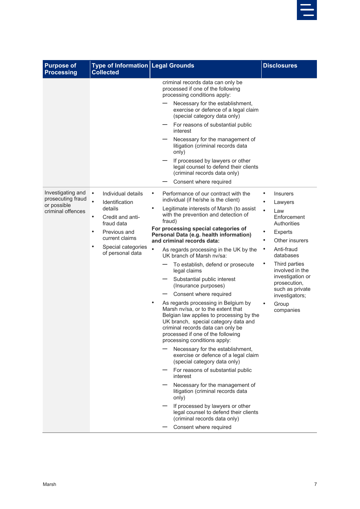

| <b>Purpose of</b><br><b>Processing</b>                                     | <b>Type of Information Legal Grounds</b><br><b>Collected</b>                                                                                                                                                      |                                                                                                                                                                                                                                                                                                                                                                                                                                                                                                                                                                                                                                                                                                                                                                                                                                                                                                                                                                                                                                                                                                                                                                                                                              | <b>Disclosures</b>                                                                                                                                                                                                                                                                                       |
|----------------------------------------------------------------------------|-------------------------------------------------------------------------------------------------------------------------------------------------------------------------------------------------------------------|------------------------------------------------------------------------------------------------------------------------------------------------------------------------------------------------------------------------------------------------------------------------------------------------------------------------------------------------------------------------------------------------------------------------------------------------------------------------------------------------------------------------------------------------------------------------------------------------------------------------------------------------------------------------------------------------------------------------------------------------------------------------------------------------------------------------------------------------------------------------------------------------------------------------------------------------------------------------------------------------------------------------------------------------------------------------------------------------------------------------------------------------------------------------------------------------------------------------------|----------------------------------------------------------------------------------------------------------------------------------------------------------------------------------------------------------------------------------------------------------------------------------------------------------|
|                                                                            |                                                                                                                                                                                                                   | criminal records data can only be<br>processed if one of the following<br>processing conditions apply:<br>Necessary for the establishment,<br>exercise or defence of a legal claim<br>(special category data only)<br>For reasons of substantial public<br>interest<br>Necessary for the management of<br>litigation (criminal records data<br>only)<br>If processed by lawyers or other<br>legal counsel to defend their clients                                                                                                                                                                                                                                                                                                                                                                                                                                                                                                                                                                                                                                                                                                                                                                                            |                                                                                                                                                                                                                                                                                                          |
|                                                                            |                                                                                                                                                                                                                   | (criminal records data only)<br>Consent where required                                                                                                                                                                                                                                                                                                                                                                                                                                                                                                                                                                                                                                                                                                                                                                                                                                                                                                                                                                                                                                                                                                                                                                       |                                                                                                                                                                                                                                                                                                          |
| Investigating and<br>prosecuting fraud<br>or possible<br>criminal offences | $\bullet$<br>Individual details<br>$\bullet$<br>Identification<br>details<br>Credit and anti-<br>$\bullet$<br>fraud data<br>Previous and<br>$\bullet$<br>current claims<br>Special categories<br>of personal data | Performance of our contract with the<br>$\bullet$<br>individual (if he/she is the client)<br>$\bullet$<br>Legitimate interests of Marsh (to assist<br>with the prevention and detection of<br>fraud)<br>For processing special categories of<br>Personal Data (e.g. health information)<br>and criminal records data:<br>$\bullet$<br>As regards processing in the UK by the<br>UK branch of Marsh nv/sa:<br>To establish, defend or prosecute<br>legal claims<br>Substantial public interest<br>(Insurance purposes)<br>Consent where required<br>As regards processing in Belgium by<br>$\bullet$<br>Marsh nv/sa, or to the extent that<br>Belgian law applies to processing by the<br>UK branch, special category data and<br>criminal records data can only be<br>processed if one of the following<br>processing conditions apply:<br>Necessary for the establishment,<br>exercise or defence of a legal claim<br>(special category data only)<br>For reasons of substantial public<br>interest<br>Necessary for the management of<br>litigation (criminal records data<br>only)<br>If processed by lawyers or other<br>legal counsel to defend their clients<br>(criminal records data only)<br>Consent where required | $\bullet$<br><b>Insurers</b><br>Lawyers<br>Law<br>Enforcement<br>Authorities<br><b>Experts</b><br>Other insurers<br>$\bullet$<br>Anti-fraud<br>$\bullet$<br>databases<br>Third parties<br>involved in the<br>investigation or<br>prosecution,<br>such as private<br>investigators;<br>Group<br>companies |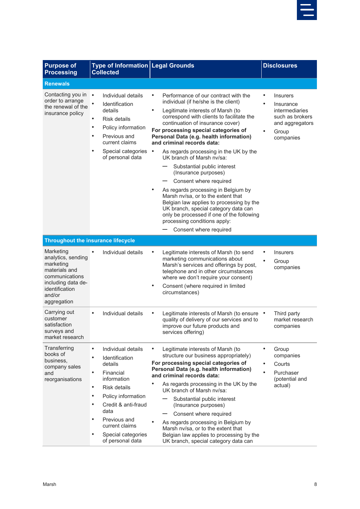

| <b>Purpose of</b><br><b>Processing</b>                                                                                                           | <b>Type of Information Legal Grounds</b><br><b>Collected</b>                                                                                                                                                                                                                                                                         |                                                                                                                                                                                                                                                                                                                                                                                                                                                                                                                                | <b>Disclosures</b>                                                                                                      |
|--------------------------------------------------------------------------------------------------------------------------------------------------|--------------------------------------------------------------------------------------------------------------------------------------------------------------------------------------------------------------------------------------------------------------------------------------------------------------------------------------|--------------------------------------------------------------------------------------------------------------------------------------------------------------------------------------------------------------------------------------------------------------------------------------------------------------------------------------------------------------------------------------------------------------------------------------------------------------------------------------------------------------------------------|-------------------------------------------------------------------------------------------------------------------------|
| <b>Renewals</b>                                                                                                                                  |                                                                                                                                                                                                                                                                                                                                      |                                                                                                                                                                                                                                                                                                                                                                                                                                                                                                                                |                                                                                                                         |
| Contacting you in<br>order to arrange<br>the renewal of the<br>insurance policy                                                                  | $\bullet$<br>Individual details<br>Identification<br>details<br>Risk details<br>$\bullet$<br>Policy information<br>$\bullet$<br>Previous and<br>٠<br>current claims<br>Special categories<br>$\bullet$<br>of personal data                                                                                                           | Performance of our contract with the<br>individual (if he/she is the client)<br>Legitimate interests of Marsh (to<br>$\bullet$<br>correspond with clients to facilitate the<br>continuation of insurance cover)<br>For processing special categories of<br>Personal Data (e.g. health information)<br>and criminal records data:<br>$\bullet$<br>As regards processing in the UK by the<br>UK branch of Marsh nv/sa:                                                                                                           | <b>Insurers</b><br>$\bullet$<br>Insurance<br>intermediaries<br>such as brokers<br>and aggregators<br>Group<br>companies |
|                                                                                                                                                  |                                                                                                                                                                                                                                                                                                                                      | Substantial public interest<br>(Insurance purposes)<br>Consent where required<br>As regards processing in Belgium by<br>Marsh nv/sa, or to the extent that<br>Belgian law applies to processing by the<br>UK branch, special category data can<br>only be processed if one of the following<br>processing conditions apply:<br>Consent where required                                                                                                                                                                          |                                                                                                                         |
| <b>Throughout the insurance lifecycle</b>                                                                                                        |                                                                                                                                                                                                                                                                                                                                      |                                                                                                                                                                                                                                                                                                                                                                                                                                                                                                                                |                                                                                                                         |
| Marketing<br>analytics, sending<br>marketing<br>materials and<br>communications<br>including data de-<br>identification<br>and/or<br>aggregation | Individual details                                                                                                                                                                                                                                                                                                                   | Legitimate interests of Marsh (to send<br>marketing communications about<br>Marsh's services and offerings by post,<br>telephone and in other circumstances<br>where we don't require your consent)<br>Consent (where required in limited<br>circumstances)                                                                                                                                                                                                                                                                    | <b>Insurers</b><br>$\bullet$<br>Group<br>companies                                                                      |
| Carrying out<br>customer<br>satisfaction<br>surveys and<br>market research                                                                       | Individual details<br>$\bullet$                                                                                                                                                                                                                                                                                                      | Legitimate interests of Marsh (to ensure .<br>quality of delivery of our services and to<br>improve our future products and<br>services offering)                                                                                                                                                                                                                                                                                                                                                                              | Third party<br>market research<br>companies                                                                             |
| Transferring<br>books of<br>business,<br>company sales<br>and<br>reorganisations                                                                 | Individual details<br>$\bullet$<br>Identification<br>$\bullet$<br>details<br>Financial<br>$\bullet$<br>information<br>Risk details<br>$\bullet$<br>$\bullet$<br>Policy information<br>Credit & anti-fraud<br>$\bullet$<br>data<br>$\bullet$<br>Previous and<br>current claims<br>$\bullet$<br>Special categories<br>of personal data | Legitimate interests of Marsh (to<br>٠<br>structure our business appropriately)<br>For processing special categories of<br>Personal Data (e.g. health information)<br>and criminal records data:<br>٠<br>As regards processing in the UK by the<br>UK branch of Marsh ny/sa:<br>Substantial public interest<br>(Insurance purposes)<br>Consent where required<br>As regards processing in Belgium by<br>Marsh nv/sa, or to the extent that<br>Belgian law applies to processing by the<br>UK branch, special category data can | $\bullet$<br>Group<br>companies<br>$\bullet$<br>Courts<br>$\bullet$<br>Purchaser<br>(potential and<br>actual)           |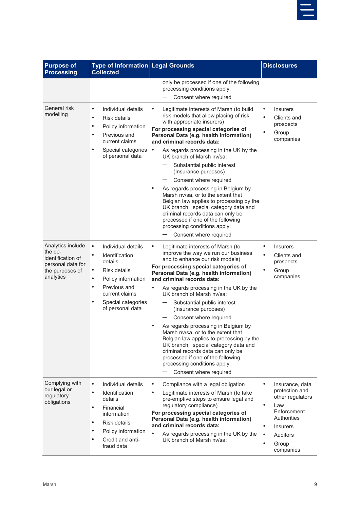

| <b>Purpose of</b><br><b>Processing</b>                                                                 | Type of Information   Legal Grounds<br><b>Collected</b>                                                                                                                                                                                         |                                                                                                                                                                                                                                                                                                                                                                                                                                                                                                                                                                                                                                                                                                            | <b>Disclosures</b>                                                                                                                                                               |
|--------------------------------------------------------------------------------------------------------|-------------------------------------------------------------------------------------------------------------------------------------------------------------------------------------------------------------------------------------------------|------------------------------------------------------------------------------------------------------------------------------------------------------------------------------------------------------------------------------------------------------------------------------------------------------------------------------------------------------------------------------------------------------------------------------------------------------------------------------------------------------------------------------------------------------------------------------------------------------------------------------------------------------------------------------------------------------------|----------------------------------------------------------------------------------------------------------------------------------------------------------------------------------|
|                                                                                                        |                                                                                                                                                                                                                                                 | only be processed if one of the following<br>processing conditions apply:<br>Consent where required                                                                                                                                                                                                                                                                                                                                                                                                                                                                                                                                                                                                        |                                                                                                                                                                                  |
| General risk<br>modelling                                                                              | Individual details<br>$\bullet$<br>$\bullet$<br>Risk details<br>Policy information<br>$\bullet$<br>Previous and<br>$\bullet$<br>current claims<br>$\bullet$<br>Special categories<br>of personal data                                           | Legitimate interests of Marsh (to build<br>risk models that allow placing of risk<br>with appropriate insurers)<br>For processing special categories of<br>Personal Data (e.g. health information)<br>and criminal records data:<br>As regards processing in the UK by the<br>$\bullet$<br>UK branch of Marsh ny/sa:<br>Substantial public interest<br>(Insurance purposes)<br>Consent where required<br>As regards processing in Belgium by<br>Marsh nv/sa, or to the extent that<br>Belgian law applies to processing by the<br>UK branch, special category data and<br>criminal records data can only be<br>processed if one of the following<br>processing conditions apply:<br>Consent where required | <b>Insurers</b><br>$\bullet$<br>Clients and<br>prospects<br>Group<br>companies                                                                                                   |
| Analytics include<br>the de-<br>identification of<br>personal data for<br>the purposes of<br>analytics | $\bullet$<br>Individual details<br>Identification<br>$\bullet$<br>details<br>Risk details<br>$\bullet$<br>Policy information<br>$\bullet$<br>Previous and<br>$\bullet$<br>current claims<br>$\bullet$<br>Special categories<br>of personal data | Legitimate interests of Marsh (to<br>improve the way we run our business<br>and to enhance our risk models)<br>For processing special categories of<br>Personal Data (e.g. health information)<br>and criminal records data:<br>As regards processing in the UK by the<br>UK branch of Marsh ny/sa:<br>Substantial public interest<br>(Insurance purposes)<br>Consent where required<br>As regards processing in Belgium by<br>Marsh nv/sa, or to the extent that<br>Belgian law applies to processing by the<br>UK branch, special category data and<br>criminal records data can only be<br>processed if one of the following<br>processing conditions apply:<br>Consent where required                  | <b>Insurers</b><br>Clients and<br>prospects<br>Group<br>companies                                                                                                                |
| Complying with<br>our legal or<br>regulatory<br>obligations                                            | $\bullet$<br>Individual details<br>Identification<br>$\bullet$<br>details<br>$\bullet$<br>Financial<br>information<br><b>Risk details</b><br>$\bullet$<br>Policy information<br>$\bullet$<br>Credit and anti-<br>fraud data                     | Compliance with a legal obligation<br>$\bullet$<br>Legitimate interests of Marsh (to take<br>pre-emptive steps to ensure legal and<br>regulatory compliance)<br>For processing special categories of<br>Personal Data (e.g. health information)<br>and criminal records data:<br>$\bullet$<br>As regards processing in the UK by the<br>UK branch of Marsh ny/sa:                                                                                                                                                                                                                                                                                                                                          | Insurance, data<br>protection and<br>other regulators<br>$\bullet$<br>Law<br>Enforcement<br>Authorities<br>$\bullet$<br><b>Insurers</b><br><b>Auditors</b><br>Group<br>companies |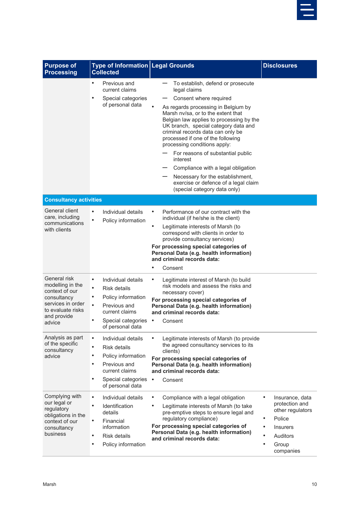

| <b>Purpose of</b><br><b>Processing</b>                                                                                               | Type of Information Legal Grounds<br><b>Collected</b>                                                                                                                                         |                                                                                                                                                                                                                                                                                                                                                                                                                                                                                                                                                                        | <b>Disclosures</b>                                                                                                                                                    |
|--------------------------------------------------------------------------------------------------------------------------------------|-----------------------------------------------------------------------------------------------------------------------------------------------------------------------------------------------|------------------------------------------------------------------------------------------------------------------------------------------------------------------------------------------------------------------------------------------------------------------------------------------------------------------------------------------------------------------------------------------------------------------------------------------------------------------------------------------------------------------------------------------------------------------------|-----------------------------------------------------------------------------------------------------------------------------------------------------------------------|
|                                                                                                                                      | $\bullet$<br>Previous and<br>current claims<br>Special categories<br>of personal data                                                                                                         | To establish, defend or prosecute<br>legal claims<br>Consent where required<br>$\bullet$<br>As regards processing in Belgium by<br>Marsh nv/sa, or to the extent that<br>Belgian law applies to processing by the<br>UK branch, special category data and<br>criminal records data can only be<br>processed if one of the following<br>processing conditions apply:<br>For reasons of substantial public<br>interest<br>Compliance with a legal obligation<br>Necessary for the establishment,<br>exercise or defence of a legal claim<br>(special category data only) |                                                                                                                                                                       |
| <b>Consultancy activities</b>                                                                                                        |                                                                                                                                                                                               |                                                                                                                                                                                                                                                                                                                                                                                                                                                                                                                                                                        |                                                                                                                                                                       |
| General client<br>care, including<br>communications<br>with clients                                                                  | Individual details<br>$\bullet$<br>$\bullet$<br>Policy information                                                                                                                            | Performance of our contract with the<br>$\bullet$<br>individual (if he/she is the client)<br>$\bullet$<br>Legitimate interests of Marsh (to<br>correspond with clients in order to<br>provide consultancy services)<br>For processing special categories of<br>Personal Data (e.g. health information)<br>and criminal records data:<br>٠<br>Consent                                                                                                                                                                                                                   |                                                                                                                                                                       |
| General risk<br>modelling in the<br>context of our<br>consultancy<br>services in order<br>to evaluate risks<br>and provide<br>advice | Individual details<br>$\bullet$<br>$\bullet$<br>Risk details<br>٠<br>Policy information<br>$\bullet$<br>Previous and<br>current claims<br>$\bullet$<br>Special categories<br>of personal data | Legitimate interest of Marsh (to build<br>$\bullet$<br>risk models and assess the risks and<br>necessary cover)<br>For processing special categories of<br>Personal Data (e.g. health information)<br>and criminal records data:<br>$\bullet$<br>Consent                                                                                                                                                                                                                                                                                                               |                                                                                                                                                                       |
| Analysis as part<br>of the specific<br>consultancy<br>advice                                                                         | $\bullet$<br>Individual details<br>$\bullet$<br>Risk details<br>Policy information<br>٠<br>Previous and<br>٠<br>current claims<br>$\bullet$<br>Special categories<br>of personal data         | $\bullet$<br>Legitimate interests of Marsh (to provide<br>the agreed consultancy services to its<br>clients)<br>For processing special categories of<br>Personal Data (e.g. health information)<br>and criminal records data:<br>$\bullet$<br>Consent                                                                                                                                                                                                                                                                                                                  |                                                                                                                                                                       |
| Complying with<br>our legal or<br>regulatory<br>obligations in the<br>context of our<br>consultancy<br>business                      | $\bullet$<br>Individual details<br>$\bullet$<br>Identification<br>details<br>Financial<br>information<br><b>Risk details</b><br>$\bullet$<br>Policy information<br>٠                          | $\bullet$<br>Compliance with a legal obligation<br>Legitimate interests of Marsh (to take<br>pre-emptive steps to ensure legal and<br>regulatory compliance)<br>For processing special categories of<br>Personal Data (e.g. health information)<br>and criminal records data:                                                                                                                                                                                                                                                                                          | $\bullet$<br>Insurance, data<br>protection and<br>other regulators<br>Police<br>٠<br>$\bullet$<br><b>Insurers</b><br>Auditors<br>$\bullet$<br>٠<br>Group<br>companies |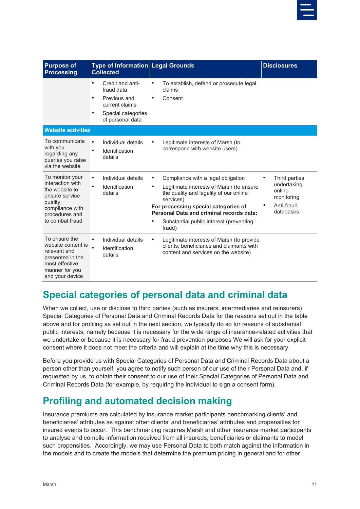

| <b>Purpose of</b><br><b>Processing</b>                                                                                                      | <b>Type of Information Legal Grounds</b><br><b>Collected</b>                                                                         |                                                                                                                                                                                                                                                                                             | <b>Disclosures</b>                                                                   |
|---------------------------------------------------------------------------------------------------------------------------------------------|--------------------------------------------------------------------------------------------------------------------------------------|---------------------------------------------------------------------------------------------------------------------------------------------------------------------------------------------------------------------------------------------------------------------------------------------|--------------------------------------------------------------------------------------|
|                                                                                                                                             | Credit and anti-<br>$\bullet$<br>fraud data<br>Previous and<br>$\bullet$<br>current claims<br>Special categories<br>of personal data | To establish, defend or prosecute legal<br>claims<br>Consent<br>$\bullet$                                                                                                                                                                                                                   |                                                                                      |
| <b>Website activities</b>                                                                                                                   |                                                                                                                                      |                                                                                                                                                                                                                                                                                             |                                                                                      |
| To communicate<br>with you<br>regarding any<br>queries you raise<br>via the website                                                         | Individual details<br>$\bullet$<br>Identification<br>details                                                                         | Legitimate interests of Marsh (to<br>correspond with website users)                                                                                                                                                                                                                         |                                                                                      |
| To monitor your<br>interaction with<br>the website to<br>ensure service<br>quality,<br>compliance with<br>procedures and<br>to combat fraud | Individual details<br>$\bullet$<br>Identification<br>details                                                                         | Compliance with a legal obligation<br>$\bullet$<br>Legitimate interests of Marsh (to ensure<br>the quality and legality of our online<br>services)<br>For processing special categories of<br>Personal Data and criminal records data:<br>Substantial public interest (preventing<br>fraud) | Third parties<br>٠<br>undertaking<br>online<br>monitoring<br>Anti-fraud<br>databases |
| To ensure the<br>website content is<br>relevant and<br>presented in the<br>most effective<br>manner for you<br>and your device              | Individual details<br>Identification<br>details                                                                                      | Legitimate interests of Marsh (to provide<br>$\bullet$<br>clients, beneficiaries and claimants with<br>content and services on the website)                                                                                                                                                 |                                                                                      |

#### <span id="page-12-0"></span>**Special categories of personal data and criminal data**

When we collect, use or disclose to third parties (such as insurers, intermediaries and reinsurers) Special Categories of Personal Data and Criminal Records Data for the reasons set out in the table above and for profiling as set out in the next section, we typically do so for reasons of substantial public interests, namely because it is necessary for the wide range of insurance-related activities that we undertake or because it is necessary for fraud prevention purposes We will ask for your explicit consent where it does not meet the criteria and will explain at the time why this is necessary.

Before you provide us with Special Categories of Personal Data and Criminal Records Data about a person other than yourself, you agree to notify such person of our use of their Personal Data and, if requested by us, to obtain their consent to our use of their Special Categories of Personal Data and Criminal Records Data (for example, by requiring the individual to sign a consent form).

#### <span id="page-12-1"></span>**Profiling and automated decision making**

Insurance premiums are calculated by insurance market participants benchmarking clients' and beneficiaries' attributes as against other clients' and beneficiaries' attributes and propensities for insured events to occur. This benchmarking requires Marsh and other insurance market participants to analyse and compile information received from all insureds, beneficiaries or claimants to model such propensities. Accordingly, we may use Personal Data to both match against the information in the models and to create the models that determine the premium pricing in general and for other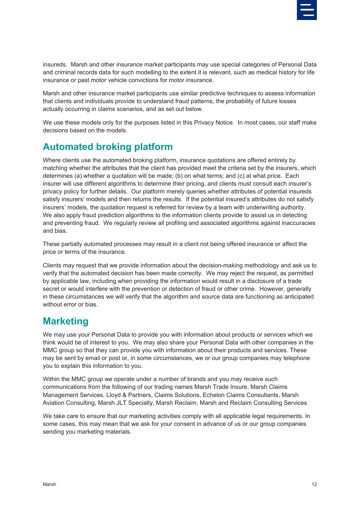

insureds. Marsh and other insurance market participants may use special categories of Personal Data and criminal records data for such modelling to the extent it is relevant, such as medical history for life insurance or past motor vehicle convictions for motor insurance.

Marsh and other insurance market participants use similar predictive techniques to assess information that clients and individuals provide to understand fraud patterns, the probability of future losses actually occurring in claims scenarios, and as set out below.

We use these models only for the purposes listed in this Privacy Notice. In most cases, our staff make decisions based on the models.

#### <span id="page-13-0"></span>**Automated broking platform**

Where clients use the automated broking platform, insurance quotations are offered entirely by matching whether the attributes that the client has provided meet the criteria set by the insurers, which determines (a) whether a quotation will be made; (b) on what terms; and (c) at what price. Each insurer will use different algorithms to determine their pricing, and clients must consult each insurer's privacy policy for further details. Our platform merely queries whether attributes of potential insureds satisfy insurers' models and then returns the results. If the potential insured's attributes do not satisfy insurers' models, the quotation request is referred for review by a team with underwriting authority. We also apply fraud prediction algorithms to the information clients provide to assist us in detecting and preventing fraud. We regularly review all profiling and associated algorithms against inaccuracies and bias.

These partially automated processes may result in a client not being offered insurance or affect the price or terms of the insurance.

Clients may request that we provide information about the decision-making methodology and ask us to verify that the automated decision has been made correctly. We may reject the request, as permitted by applicable law, including when providing the information would result in a disclosure of a trade secret or would interfere with the prevention or detection of fraud or other crime. However, generally in these circumstances we will verify that the algorithm and source data are functioning as anticipated without error or bias.

### <span id="page-13-1"></span>**Marketing**

We may use your Personal Data to provide you with information about products or services which we think would be of interest to you. We may also share your Personal Data with other companies in the MMC group so that they can provide you with information about their products and services. These may be sent by email or post or, in some circumstances, we or our group companies may telephone you to explain this information to you.

Within the MMC group we operate under a number of brands and you may receive such communications from the following of our trading names Marsh Trade Insure, Marsh Claims Management Services, Lloyd & Partners, Claims Solutions, Echelon Claims Consultants, Marsh Aviation Consulting, Marsh JLT Specialty, Marsh Reclaim, Marsh and Reclaim Consulting Services.

We take care to ensure that our marketing activities comply with all applicable legal requirements. In some cases, this may mean that we ask for your consent in advance of us or our group companies sending you marketing materials.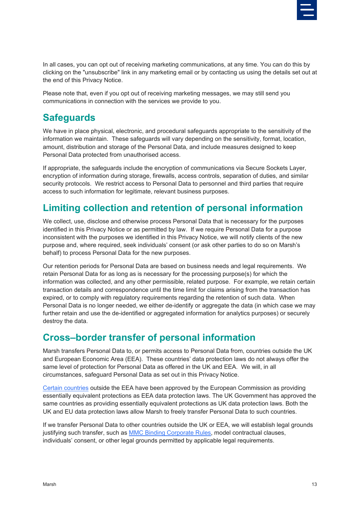

In all cases, you can opt out of receiving marketing communications, at any time. You can do this by clicking on the "unsubscribe" link in any marketing email or by contacting us using the details set out at the end of this Privacy Notice.

Please note that, even if you opt out of receiving marketing messages, we may still send you communications in connection with the services we provide to you.

#### <span id="page-14-0"></span>**Safeguards**

We have in place physical, electronic, and procedural safeguards appropriate to the sensitivity of the information we maintain. These safeguards will vary depending on the sensitivity, format, location, amount, distribution and storage of the Personal Data, and include measures designed to keep Personal Data protected from unauthorised access.

If appropriate, the safeguards include the encryption of communications via Secure Sockets Layer, encryption of information during storage, firewalls, access controls, separation of duties, and similar security protocols. We restrict access to Personal Data to personnel and third parties that require access to such information for legitimate, relevant business purposes.

#### <span id="page-14-1"></span>**Limiting collection and retention of personal information**

We collect, use, disclose and otherwise process Personal Data that is necessary for the purposes identified in this Privacy Notice or as permitted by law. If we require Personal Data for a purpose inconsistent with the purposes we identified in this Privacy Notice, we will notify clients of the new purpose and, where required, seek individuals' consent (or ask other parties to do so on Marsh's behalf) to process Personal Data for the new purposes.

Our retention periods for Personal Data are based on business needs and legal requirements. We retain Personal Data for as long as is necessary for the processing purpose(s) for which the information was collected, and any other permissible, related purpose. For example, we retain certain transaction details and correspondence until the time limit for claims arising from the transaction has expired, or to comply with regulatory requirements regarding the retention of such data. When Personal Data is no longer needed, we either de-identify or aggregate the data (in which case we may further retain and use the de-identified or aggregated information for analytics purposes) or securely destroy the data.

#### <span id="page-14-2"></span>**Cross–border transfer of personal information**

Marsh transfers Personal Data to, or permits access to Personal Data from, countries outside the UK and European Economic Area (EEA). These countries' data protection laws do not always offer the same level of protection for Personal Data as offered in the UK and EEA. We will, in all circumstances, safeguard Personal Data as set out in this Privacy Notice.

[Certain countries](http://ec.europa.eu/justice/data-protection/international-transfers/adequacy/index_en.htm) outside the EEA have been approved by the European Commission as providing essentially equivalent protections as EEA data protection laws. The UK Government has approved the same countries as providing essentially equivalent protections as UK data protection laws. Both the UK and EU data protection laws allow Marsh to freely transfer Personal Data to such countries.

If we transfer Personal Data to other countries outside the UK or EEA, we will establish legal grounds justifying such transfer, such as [MMC Binding Corporate Rules,](http://www.mmc.com/privacy-statement.html) model contractual clauses, individuals' consent, or other legal grounds permitted by applicable legal requirements.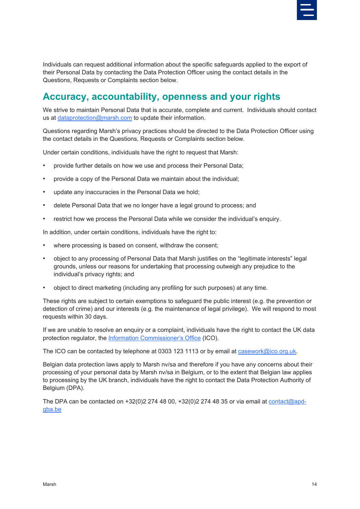

Individuals can request additional information about the specific safeguards applied to the export of their Personal Data by contacting the Data Protection Officer using the contact details in the Questions, Requests or Complaints section below.

#### <span id="page-15-0"></span>**Accuracy, accountability, openness and your rights**

We strive to maintain Personal Data that is accurate, complete and current. Individuals should contact us at [dataprotection@marsh.com](mailto:dataprotection@marsh.com) to update their information.

Questions regarding Marsh's privacy practices should be directed to the Data Protection Officer using the contact details in the Questions, Requests or Complaints section below.

Under certain conditions, individuals have the right to request that Marsh:

- provide further details on how we use and process their Personal Data;
- provide a copy of the Personal Data we maintain about the individual;
- update any inaccuracies in the Personal Data we hold;
- delete Personal Data that we no longer have a legal ground to process; and
- restrict how we process the Personal Data while we consider the individual's enquiry.

In addition, under certain conditions, individuals have the right to:

- where processing is based on consent, withdraw the consent;
- object to any processing of Personal Data that Marsh justifies on the "legitimate interests" legal grounds, unless our reasons for undertaking that processing outweigh any prejudice to the individual's privacy rights; and
- object to direct marketing (including any profiling for such purposes) at any time.

These rights are subject to certain exemptions to safeguard the public interest (e.g. the prevention or detection of crime) and our interests (e.g. the maintenance of legal privilege). We will respond to most requests within 30 days.

If we are unable to resolve an enquiry or a complaint, individuals have the right to contact the UK data protection regulator, the [Information Commissioner's Office](https://ico.org.uk/) (ICO).

The ICO can be contacted by telephone at 0303 123 1113 or by email at [casework@ico.org.uk.](mailto:casework@ico.org.uk)

Belgian data protection laws apply to Marsh nv/sa and therefore if you have any concerns about their processing of your personal data by Marsh nv/sa in Belgium, or to the extent that Belgian law applies to processing by the UK branch, individuals have the right to contact the Data Protection Authority of Belgium (DPA).

The DPA can be contacted on  $+32(0)2\,274\,48\,00$ ,  $+32(0)2\,274\,48\,35$  or via email at [contact@apd](mailto:contact@apd-gba.be)[gba.be](mailto:contact@apd-gba.be)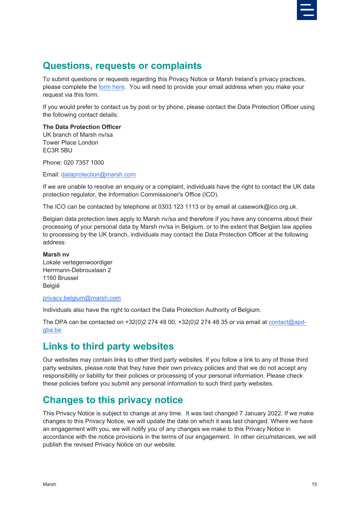

#### <span id="page-16-0"></span>**Questions, requests or complaints**

To submit questions or requests regarding this Privacy Notice or Marsh Ireland's privacy practices, please complete the [form here.](https://privacyportal.onetrust.com/webform/ee9df2bb-0ef3-4485-bc63-4db420e77359/f6ba60bd-5d44-4af7-ad90-f218514d266c) You will need to provide your email address when you make your request via this form.

If you would prefer to contact us by post or by phone, please contact the Data Protection Officer using the following contact details:

#### **The Data Protection Officer**

UK branch of Marsh nv/sa Tower Place London EC3R 5BU

Phone: 020 7357 1000

Email: [dataprotection@marsh.com](mailto:dataprotection@marsh.com)

If we are unable to resolve an enquiry or a complaint, individuals have the right to contact the UK data protection regulator, the Information Commissioner's Office (ICO).

The ICO can be contacted by telephone at 0303 123 1113 or by email at casework@ico.org.uk.

Belgian data protection laws apply to Marsh nv/sa and therefore if you have any concerns about their processing of your personal data by Marsh nv/sa in Belgium, or to the extent that Belgian law applies to processing by the UK branch, individuals may contact the Data Protection Officer at the following address:

#### **Marsh nv**

Lokale vertegenwoordiger Herrmann-Debrouxlaan 2 1160 Brussel België

#### [privacy.belgium@marsh.com](mailto:privacy.belgium@marsh.com)

Individuals also have the right to contact the Data Protection Authority of Belgium.

The DPA can be contacted on  $+32(0)2\,274\,48\,00$ ,  $+32(0)2\,274\,48\,35$  or via email at [contact@apd](mailto:contact@apd-gba.be)[gba.be](mailto:contact@apd-gba.be)

### <span id="page-16-1"></span>**Links to third party websites**

Our websites may contain links to other third party websites. If you follow a link to any of those third party websites, please note that they have their own privacy policies and that we do not accept any responsibility or liability for their policies or processing of your personal information. Please check these policies before you submit any personal information to such third party websites.

#### <span id="page-16-2"></span>**Changes to this privacy notice**

This Privacy Notice is subject to change at any time. It was last changed 7 January 2022. If we make changes to this Privacy Notice, we will update the date on which it was last changed. Where we have an engagement with you, we will notify you of any changes we make to this Privacy Notice in accordance with the notice provisions in the terms of our engagement. In other circumstances, we will publish the revised Privacy Notice on our website.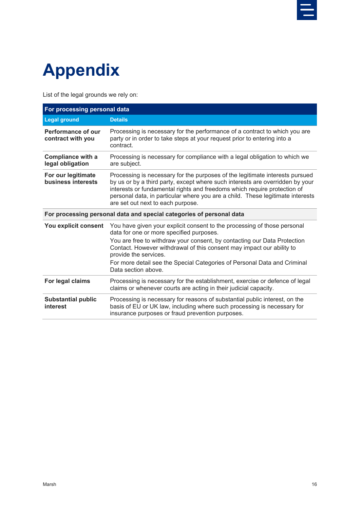

## <span id="page-17-0"></span>**Appendix**

List of the legal grounds we rely on:

| For processing personal data                                         |                                                                                                                                                                                                                                                                                                                                                                  |  |
|----------------------------------------------------------------------|------------------------------------------------------------------------------------------------------------------------------------------------------------------------------------------------------------------------------------------------------------------------------------------------------------------------------------------------------------------|--|
| <b>Legal ground</b>                                                  | <b>Details</b>                                                                                                                                                                                                                                                                                                                                                   |  |
| Performance of our<br>contract with you                              | Processing is necessary for the performance of a contract to which you are<br>party or in order to take steps at your request prior to entering into a<br>contract.                                                                                                                                                                                              |  |
| <b>Compliance with a</b><br>legal obligation                         | Processing is necessary for compliance with a legal obligation to which we<br>are subject.                                                                                                                                                                                                                                                                       |  |
| For our legitimate<br>business interests                             | Processing is necessary for the purposes of the legitimate interests pursued<br>by us or by a third party, except where such interests are overridden by your<br>interests or fundamental rights and freedoms which require protection of<br>personal data, in particular where you are a child. These legitimate interests<br>are set out next to each purpose. |  |
| For processing personal data and special categories of personal data |                                                                                                                                                                                                                                                                                                                                                                  |  |
| You explicit consent                                                 | You have given your explicit consent to the processing of those personal<br>data for one or more specified purposes.                                                                                                                                                                                                                                             |  |
|                                                                      | You are free to withdraw your consent, by contacting our Data Protection<br>Contact. However withdrawal of this consent may impact our ability to<br>provide the services.                                                                                                                                                                                       |  |
|                                                                      | For more detail see the Special Categories of Personal Data and Criminal<br>Data section above.                                                                                                                                                                                                                                                                  |  |
| For legal claims                                                     | Processing is necessary for the establishment, exercise or defence of legal<br>claims or whenever courts are acting in their judicial capacity.                                                                                                                                                                                                                  |  |
| <b>Substantial public</b><br>interest                                | Processing is necessary for reasons of substantial public interest, on the<br>basis of EU or UK law, including where such processing is necessary for<br>insurance purposes or fraud prevention purposes.                                                                                                                                                        |  |